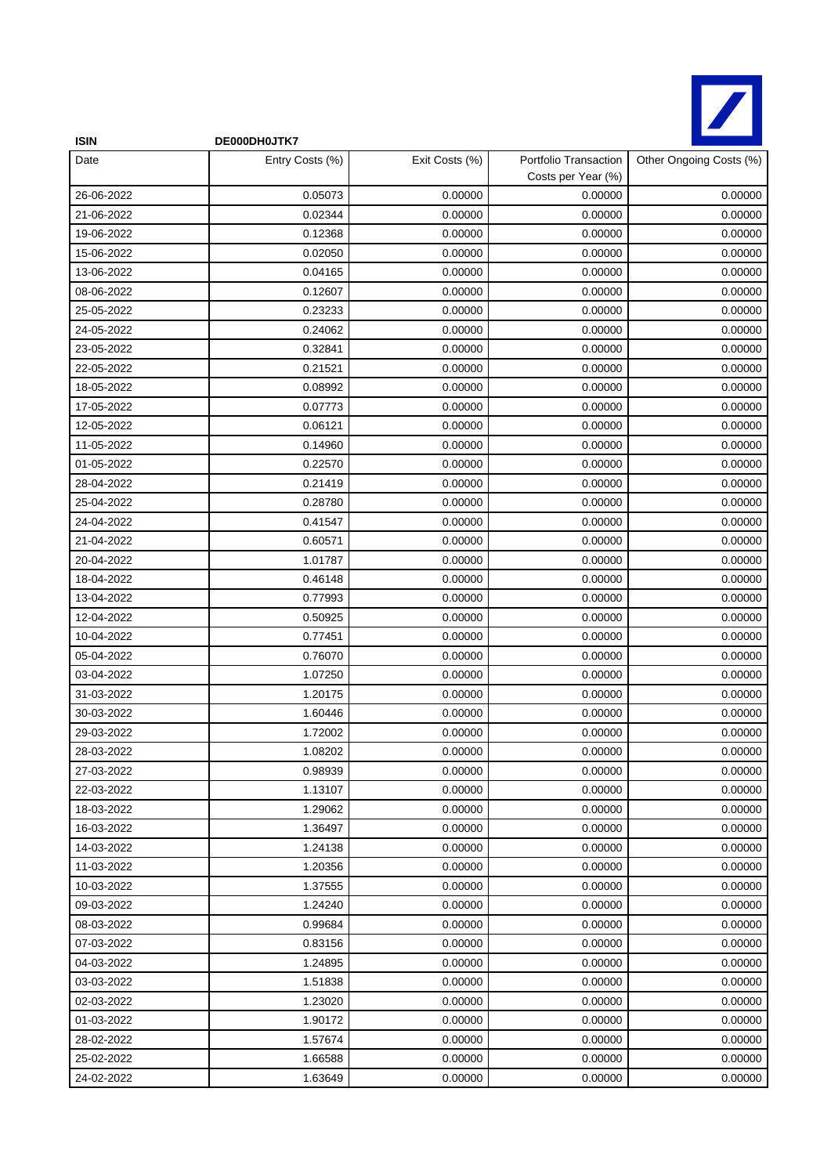

| <b>ISIN</b> | DE000DH0JTK7    |                |                                             |                         |
|-------------|-----------------|----------------|---------------------------------------------|-------------------------|
| Date        | Entry Costs (%) | Exit Costs (%) | Portfolio Transaction<br>Costs per Year (%) | Other Ongoing Costs (%) |
| 26-06-2022  | 0.05073         | 0.00000        | 0.00000                                     | 0.00000                 |
| 21-06-2022  | 0.02344         | 0.00000        | 0.00000                                     | 0.00000                 |
| 19-06-2022  | 0.12368         | 0.00000        | 0.00000                                     | 0.00000                 |
| 15-06-2022  | 0.02050         | 0.00000        | 0.00000                                     | 0.00000                 |
| 13-06-2022  | 0.04165         | 0.00000        | 0.00000                                     | 0.00000                 |
| 08-06-2022  | 0.12607         | 0.00000        | 0.00000                                     | 0.00000                 |
| 25-05-2022  | 0.23233         | 0.00000        | 0.00000                                     | 0.00000                 |
| 24-05-2022  | 0.24062         | 0.00000        | 0.00000                                     | 0.00000                 |
| 23-05-2022  | 0.32841         | 0.00000        | 0.00000                                     | 0.00000                 |
| 22-05-2022  | 0.21521         | 0.00000        | 0.00000                                     | 0.00000                 |
| 18-05-2022  | 0.08992         | 0.00000        | 0.00000                                     | 0.00000                 |
| 17-05-2022  | 0.07773         | 0.00000        | 0.00000                                     | 0.00000                 |
| 12-05-2022  | 0.06121         | 0.00000        | 0.00000                                     | 0.00000                 |
| 11-05-2022  | 0.14960         | 0.00000        | 0.00000                                     | 0.00000                 |
| 01-05-2022  | 0.22570         | 0.00000        | 0.00000                                     | 0.00000                 |
| 28-04-2022  | 0.21419         | 0.00000        | 0.00000                                     | 0.00000                 |
| 25-04-2022  | 0.28780         | 0.00000        | 0.00000                                     | 0.00000                 |
| 24-04-2022  | 0.41547         | 0.00000        | 0.00000                                     | 0.00000                 |
| 21-04-2022  | 0.60571         | 0.00000        | 0.00000                                     | 0.00000                 |
| 20-04-2022  | 1.01787         | 0.00000        | 0.00000                                     | 0.00000                 |
| 18-04-2022  | 0.46148         | 0.00000        | 0.00000                                     | 0.00000                 |
| 13-04-2022  | 0.77993         | 0.00000        | 0.00000                                     | 0.00000                 |
| 12-04-2022  | 0.50925         | 0.00000        | 0.00000                                     | 0.00000                 |
| 10-04-2022  | 0.77451         | 0.00000        | 0.00000                                     | 0.00000                 |
| 05-04-2022  | 0.76070         | 0.00000        | 0.00000                                     | 0.00000                 |
| 03-04-2022  | 1.07250         | 0.00000        | 0.00000                                     | 0.00000                 |
| 31-03-2022  | 1.20175         | 0.00000        | 0.00000                                     | 0.00000                 |
| 30-03-2022  | 1.60446         | 0.00000        | 0.00000                                     | 0.00000                 |
| 29-03-2022  | 1.72002         | 0.00000        | 0.00000                                     | 0.00000                 |
| 28-03-2022  | 1.08202         | 0.00000        | 0.00000                                     | 0.00000                 |
| 27-03-2022  | 0.98939         | 0.00000        | 0.00000                                     | 0.00000                 |
| 22-03-2022  | 1.13107         | 0.00000        | 0.00000                                     | 0.00000                 |
| 18-03-2022  | 1.29062         | 0.00000        | 0.00000                                     | 0.00000                 |
| 16-03-2022  | 1.36497         | 0.00000        | 0.00000                                     | 0.00000                 |
| 14-03-2022  | 1.24138         | 0.00000        | 0.00000                                     | 0.00000                 |
| 11-03-2022  | 1.20356         | 0.00000        | 0.00000                                     | 0.00000                 |
| 10-03-2022  | 1.37555         | 0.00000        | 0.00000                                     | 0.00000                 |
| 09-03-2022  | 1.24240         | 0.00000        | 0.00000                                     | 0.00000                 |
| 08-03-2022  | 0.99684         | 0.00000        | 0.00000                                     | 0.00000                 |
| 07-03-2022  | 0.83156         | 0.00000        | 0.00000                                     | 0.00000                 |
| 04-03-2022  | 1.24895         | 0.00000        | 0.00000                                     | 0.00000                 |
| 03-03-2022  | 1.51838         | 0.00000        | 0.00000                                     | 0.00000                 |
| 02-03-2022  | 1.23020         | 0.00000        | 0.00000                                     | 0.00000                 |
| 01-03-2022  | 1.90172         | 0.00000        | 0.00000                                     | 0.00000                 |
| 28-02-2022  | 1.57674         | 0.00000        | 0.00000                                     | 0.00000                 |
| 25-02-2022  | 1.66588         | 0.00000        | 0.00000                                     | 0.00000                 |
| 24-02-2022  | 1.63649         | 0.00000        | 0.00000                                     | 0.00000                 |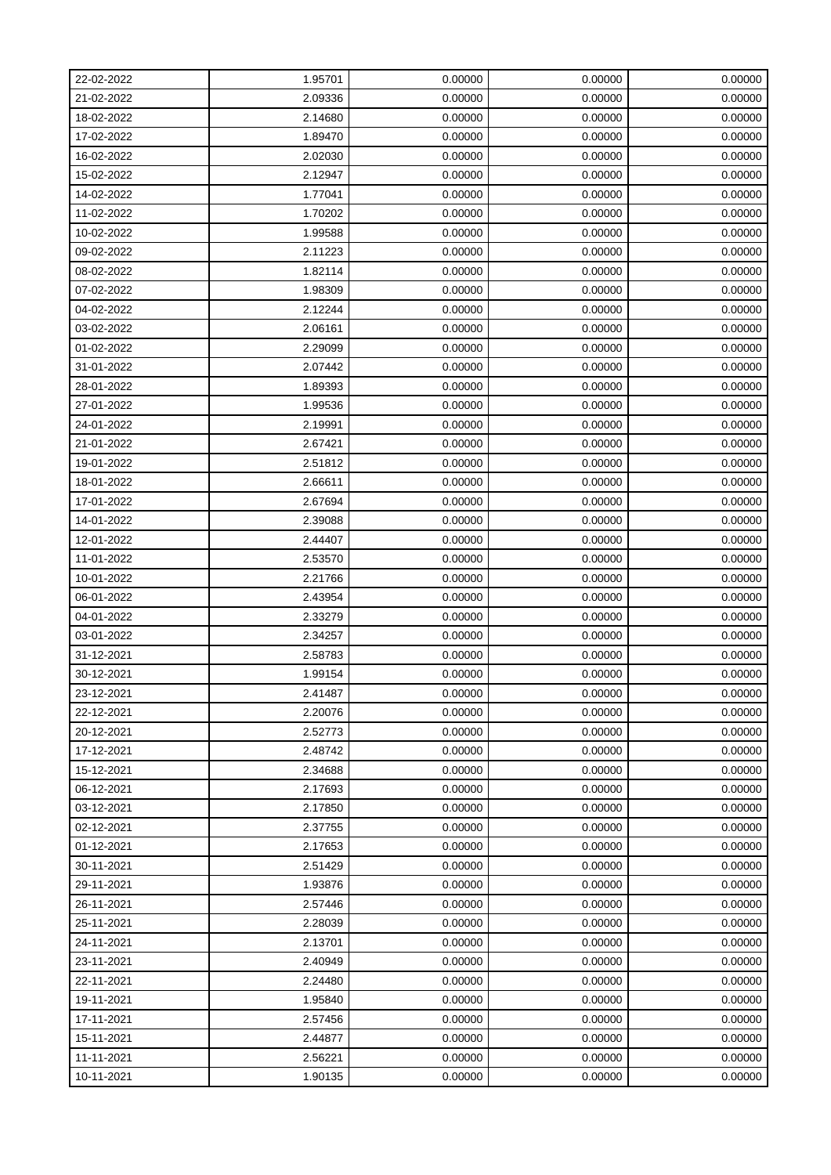| 22-02-2022 | 1.95701 | 0.00000 | 0.00000 | 0.00000 |
|------------|---------|---------|---------|---------|
| 21-02-2022 | 2.09336 | 0.00000 | 0.00000 | 0.00000 |
| 18-02-2022 | 2.14680 | 0.00000 | 0.00000 | 0.00000 |
| 17-02-2022 | 1.89470 | 0.00000 | 0.00000 | 0.00000 |
| 16-02-2022 | 2.02030 | 0.00000 | 0.00000 | 0.00000 |
| 15-02-2022 | 2.12947 | 0.00000 | 0.00000 | 0.00000 |
| 14-02-2022 | 1.77041 | 0.00000 | 0.00000 | 0.00000 |
| 11-02-2022 | 1.70202 | 0.00000 | 0.00000 | 0.00000 |
| 10-02-2022 | 1.99588 | 0.00000 | 0.00000 | 0.00000 |
| 09-02-2022 | 2.11223 | 0.00000 | 0.00000 | 0.00000 |
| 08-02-2022 | 1.82114 | 0.00000 | 0.00000 | 0.00000 |
| 07-02-2022 | 1.98309 | 0.00000 | 0.00000 | 0.00000 |
| 04-02-2022 | 2.12244 | 0.00000 | 0.00000 | 0.00000 |
| 03-02-2022 | 2.06161 | 0.00000 | 0.00000 | 0.00000 |
| 01-02-2022 | 2.29099 | 0.00000 | 0.00000 | 0.00000 |
| 31-01-2022 | 2.07442 | 0.00000 | 0.00000 | 0.00000 |
| 28-01-2022 | 1.89393 | 0.00000 | 0.00000 | 0.00000 |
| 27-01-2022 | 1.99536 | 0.00000 | 0.00000 | 0.00000 |
| 24-01-2022 | 2.19991 | 0.00000 | 0.00000 | 0.00000 |
| 21-01-2022 | 2.67421 | 0.00000 | 0.00000 | 0.00000 |
| 19-01-2022 | 2.51812 | 0.00000 | 0.00000 | 0.00000 |
| 18-01-2022 | 2.66611 | 0.00000 | 0.00000 | 0.00000 |
| 17-01-2022 | 2.67694 | 0.00000 | 0.00000 | 0.00000 |
| 14-01-2022 | 2.39088 | 0.00000 | 0.00000 | 0.00000 |
| 12-01-2022 | 2.44407 | 0.00000 | 0.00000 | 0.00000 |
| 11-01-2022 | 2.53570 | 0.00000 | 0.00000 | 0.00000 |
| 10-01-2022 | 2.21766 | 0.00000 | 0.00000 | 0.00000 |
| 06-01-2022 | 2.43954 | 0.00000 | 0.00000 | 0.00000 |
| 04-01-2022 | 2.33279 | 0.00000 | 0.00000 | 0.00000 |
| 03-01-2022 | 2.34257 | 0.00000 | 0.00000 | 0.00000 |
| 31-12-2021 | 2.58783 | 0.00000 | 0.00000 | 0.00000 |
| 30-12-2021 | 1.99154 | 0.00000 | 0.00000 | 0.00000 |
| 23-12-2021 | 2.41487 | 0.00000 | 0.00000 | 0.00000 |
| 22-12-2021 | 2.20076 | 0.00000 | 0.00000 | 0.00000 |
| 20-12-2021 | 2.52773 | 0.00000 | 0.00000 | 0.00000 |
| 17-12-2021 | 2.48742 | 0.00000 | 0.00000 | 0.00000 |
| 15-12-2021 | 2.34688 | 0.00000 | 0.00000 | 0.00000 |
| 06-12-2021 | 2.17693 | 0.00000 | 0.00000 | 0.00000 |
| 03-12-2021 | 2.17850 | 0.00000 | 0.00000 | 0.00000 |
| 02-12-2021 | 2.37755 | 0.00000 | 0.00000 | 0.00000 |
| 01-12-2021 | 2.17653 | 0.00000 | 0.00000 | 0.00000 |
| 30-11-2021 | 2.51429 | 0.00000 | 0.00000 | 0.00000 |
| 29-11-2021 | 1.93876 | 0.00000 | 0.00000 | 0.00000 |
| 26-11-2021 | 2.57446 | 0.00000 | 0.00000 | 0.00000 |
| 25-11-2021 | 2.28039 | 0.00000 | 0.00000 | 0.00000 |
| 24-11-2021 | 2.13701 | 0.00000 | 0.00000 | 0.00000 |
| 23-11-2021 | 2.40949 | 0.00000 | 0.00000 | 0.00000 |
| 22-11-2021 | 2.24480 | 0.00000 | 0.00000 | 0.00000 |
| 19-11-2021 | 1.95840 | 0.00000 | 0.00000 | 0.00000 |
| 17-11-2021 | 2.57456 | 0.00000 | 0.00000 | 0.00000 |
| 15-11-2021 | 2.44877 | 0.00000 | 0.00000 | 0.00000 |
| 11-11-2021 | 2.56221 | 0.00000 | 0.00000 | 0.00000 |
| 10-11-2021 | 1.90135 | 0.00000 | 0.00000 | 0.00000 |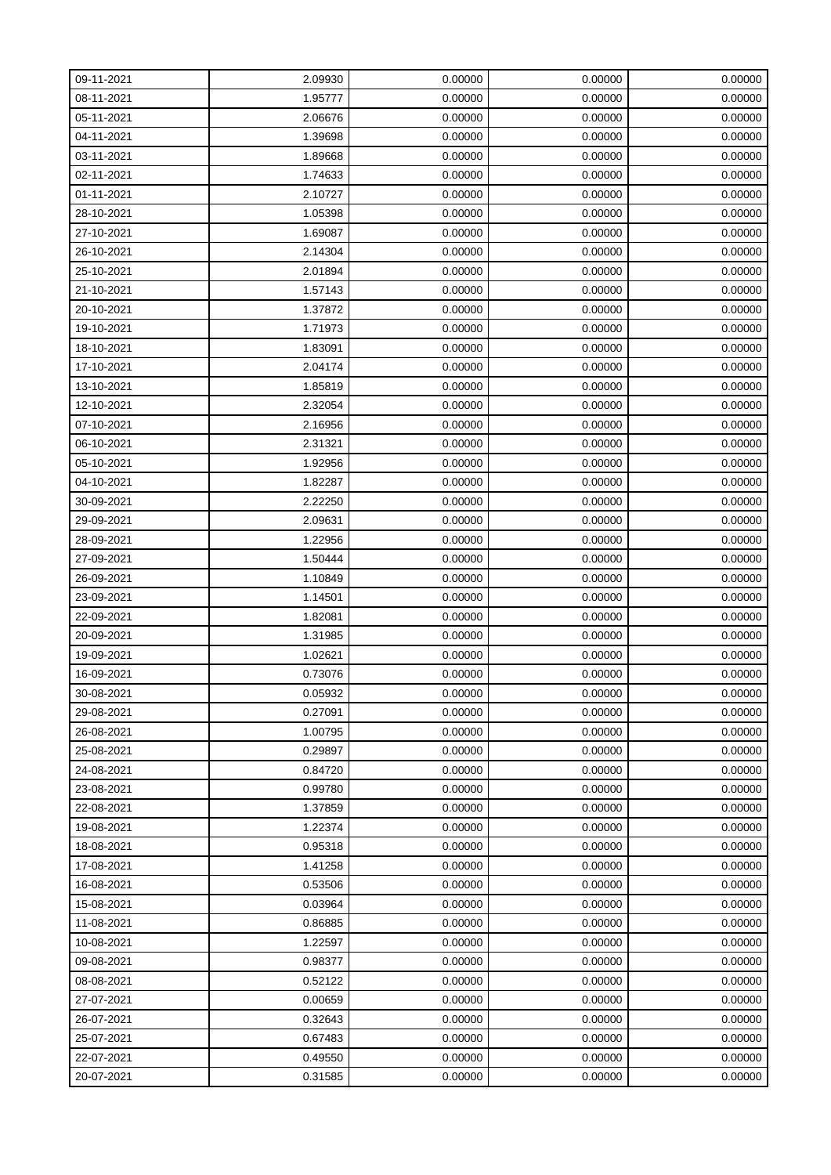| 09-11-2021 | 2.09930 | 0.00000 | 0.00000 | 0.00000 |
|------------|---------|---------|---------|---------|
| 08-11-2021 | 1.95777 | 0.00000 | 0.00000 | 0.00000 |
| 05-11-2021 | 2.06676 | 0.00000 | 0.00000 | 0.00000 |
| 04-11-2021 | 1.39698 | 0.00000 | 0.00000 | 0.00000 |
| 03-11-2021 | 1.89668 | 0.00000 | 0.00000 | 0.00000 |
| 02-11-2021 | 1.74633 | 0.00000 | 0.00000 | 0.00000 |
| 01-11-2021 | 2.10727 | 0.00000 | 0.00000 | 0.00000 |
| 28-10-2021 | 1.05398 | 0.00000 | 0.00000 | 0.00000 |
| 27-10-2021 | 1.69087 | 0.00000 | 0.00000 | 0.00000 |
| 26-10-2021 | 2.14304 | 0.00000 | 0.00000 | 0.00000 |
| 25-10-2021 | 2.01894 | 0.00000 | 0.00000 | 0.00000 |
| 21-10-2021 | 1.57143 | 0.00000 | 0.00000 | 0.00000 |
| 20-10-2021 | 1.37872 | 0.00000 | 0.00000 | 0.00000 |
| 19-10-2021 | 1.71973 | 0.00000 | 0.00000 | 0.00000 |
| 18-10-2021 | 1.83091 | 0.00000 | 0.00000 | 0.00000 |
| 17-10-2021 | 2.04174 | 0.00000 | 0.00000 | 0.00000 |
| 13-10-2021 | 1.85819 | 0.00000 | 0.00000 | 0.00000 |
| 12-10-2021 | 2.32054 | 0.00000 | 0.00000 | 0.00000 |
| 07-10-2021 | 2.16956 | 0.00000 | 0.00000 | 0.00000 |
| 06-10-2021 | 2.31321 | 0.00000 | 0.00000 | 0.00000 |
| 05-10-2021 | 1.92956 | 0.00000 | 0.00000 | 0.00000 |
| 04-10-2021 | 1.82287 | 0.00000 | 0.00000 | 0.00000 |
| 30-09-2021 | 2.22250 | 0.00000 | 0.00000 | 0.00000 |
| 29-09-2021 | 2.09631 | 0.00000 | 0.00000 | 0.00000 |
| 28-09-2021 | 1.22956 | 0.00000 | 0.00000 | 0.00000 |
| 27-09-2021 | 1.50444 | 0.00000 | 0.00000 | 0.00000 |
| 26-09-2021 | 1.10849 | 0.00000 | 0.00000 | 0.00000 |
| 23-09-2021 | 1.14501 | 0.00000 | 0.00000 | 0.00000 |
| 22-09-2021 | 1.82081 | 0.00000 | 0.00000 | 0.00000 |
| 20-09-2021 | 1.31985 | 0.00000 | 0.00000 | 0.00000 |
| 19-09-2021 | 1.02621 | 0.00000 | 0.00000 | 0.00000 |
| 16-09-2021 | 0.73076 | 0.00000 | 0.00000 | 0.00000 |
| 30-08-2021 | 0.05932 | 0.00000 | 0.00000 | 0.00000 |
| 29-08-2021 | 0.27091 | 0.00000 | 0.00000 | 0.00000 |
| 26-08-2021 | 1.00795 | 0.00000 | 0.00000 | 0.00000 |
| 25-08-2021 | 0.29897 | 0.00000 | 0.00000 | 0.00000 |
| 24-08-2021 | 0.84720 | 0.00000 | 0.00000 | 0.00000 |
| 23-08-2021 | 0.99780 | 0.00000 | 0.00000 | 0.00000 |
| 22-08-2021 | 1.37859 | 0.00000 | 0.00000 | 0.00000 |
| 19-08-2021 | 1.22374 | 0.00000 | 0.00000 | 0.00000 |
| 18-08-2021 | 0.95318 | 0.00000 | 0.00000 | 0.00000 |
| 17-08-2021 | 1.41258 | 0.00000 | 0.00000 | 0.00000 |
| 16-08-2021 | 0.53506 | 0.00000 | 0.00000 | 0.00000 |
| 15-08-2021 | 0.03964 | 0.00000 | 0.00000 | 0.00000 |
| 11-08-2021 | 0.86885 | 0.00000 | 0.00000 | 0.00000 |
| 10-08-2021 | 1.22597 | 0.00000 | 0.00000 | 0.00000 |
| 09-08-2021 | 0.98377 | 0.00000 | 0.00000 | 0.00000 |
| 08-08-2021 | 0.52122 | 0.00000 | 0.00000 | 0.00000 |
| 27-07-2021 | 0.00659 | 0.00000 | 0.00000 | 0.00000 |
| 26-07-2021 | 0.32643 | 0.00000 | 0.00000 | 0.00000 |
| 25-07-2021 | 0.67483 | 0.00000 | 0.00000 | 0.00000 |
| 22-07-2021 | 0.49550 | 0.00000 | 0.00000 | 0.00000 |
| 20-07-2021 | 0.31585 | 0.00000 | 0.00000 | 0.00000 |